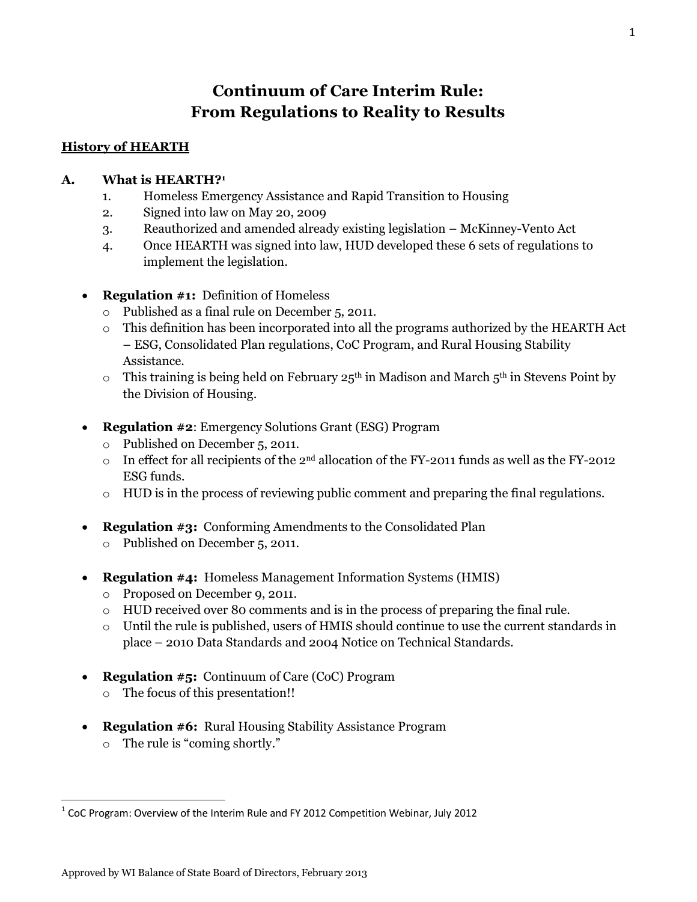# **Continuum of Care Interim Rule: From Regulations to Reality to Results**

### **History of HEARTH**

#### **A. What is HEARTH?<sup>1</sup>**

- 1. Homeless Emergency Assistance and Rapid Transition to Housing
- 2. Signed into law on May 20, 2009
- 3. Reauthorized and amended already existing legislation McKinney-Vento Act
- 4. Once HEARTH was signed into law, HUD developed these 6 sets of regulations to implement the legislation.
- **Regulation #1:** Definition of Homeless
	- o Published as a final rule on December 5, 2011.
	- o This definition has been incorporated into all the programs authorized by the HEARTH Act – ESG, Consolidated Plan regulations, CoC Program, and Rural Housing Stability Assistance.
	- $\circ$  This training is being held on February 25<sup>th</sup> in Madison and March 5<sup>th</sup> in Stevens Point by the Division of Housing.
- **Regulation #2**: Emergency Solutions Grant (ESG) Program
	- o Published on December 5, 2011.
	- o In effect for all recipients of the 2nd allocation of the FY-2011 funds as well as the FY-2012 ESG funds.
	- $\circ$  HUD is in the process of reviewing public comment and preparing the final regulations.
- **Regulation #3:** Conforming Amendments to the Consolidated Plan
	- o Published on December 5, 2011.
- **Regulation #4:** Homeless Management Information Systems (HMIS)
	- o Proposed on December 9, 2011.
	- o HUD received over 80 comments and is in the process of preparing the final rule.
	- o Until the rule is published, users of HMIS should continue to use the current standards in place – 2010 Data Standards and 2004 Notice on Technical Standards.
- **Regulation #5:** Continuum of Care (CoC) Program
	- o The focus of this presentation!!
- **Regulation #6:** Rural Housing Stability Assistance Program
	- o The rule is "coming shortly."

 $^1$  CoC Program: Overview of the Interim Rule and FY 2012 Competition Webinar, July 2012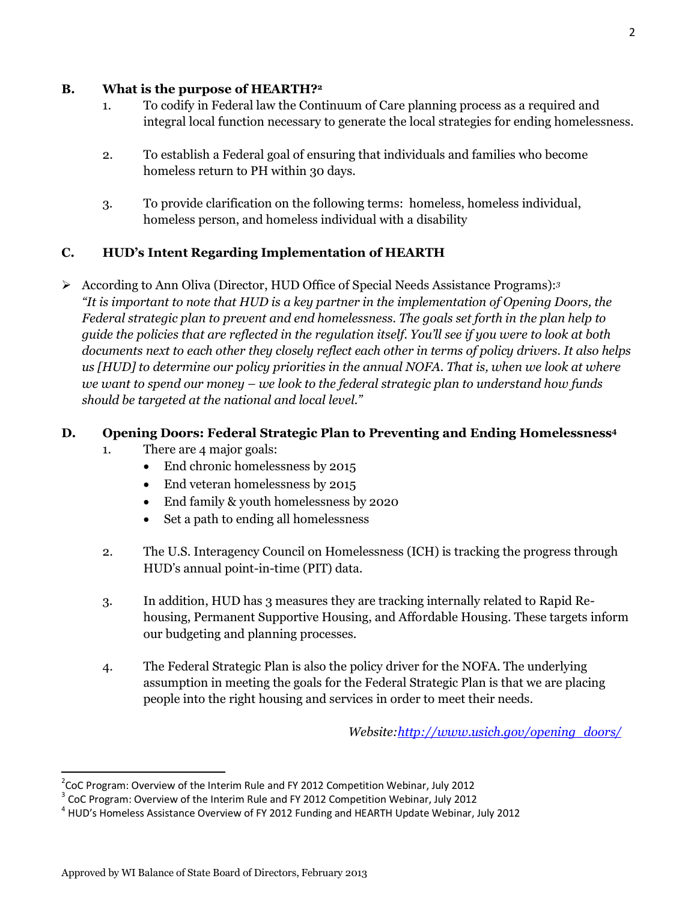#### **B. What is the purpose of HEARTH?<sup>2</sup>**

- 1. To codify in Federal law the Continuum of Care planning process as a required and integral local function necessary to generate the local strategies for ending homelessness.
- 2. To establish a Federal goal of ensuring that individuals and families who become homeless return to PH within 30 days.
- 3. To provide clarification on the following terms: homeless, homeless individual, homeless person, and homeless individual with a disability

## **C. HUD's Intent Regarding Implementation of HEARTH**

 According to Ann Oliva (Director, HUD Office of Special Needs Assistance Programs):*<sup>3</sup> "It is important to note that HUD is a key partner in the implementation of Opening Doors, the Federal strategic plan to prevent and end homelessness. The goals set forth in the plan help to guide the policies that are reflected in the regulation itself. You'll see if you were to look at both documents next to each other they closely reflect each other in terms of policy drivers. It also helps us [HUD] to determine our policy priorities in the annual NOFA. That is, when we look at where we want to spend our money – we look to the federal strategic plan to understand how funds should be targeted at the national and local level."*

## **D. Opening Doors: Federal Strategic Plan to Preventing and Ending Homelessness<sup>4</sup>**

- 1. There are 4 major goals:
	- End chronic homelessness by 2015
	- End veteran homelessness by 2015
	- End family & youth homelessness by 2020
	- Set a path to ending all homelessness
- 2. The U.S. Interagency Council on Homelessness (ICH) is tracking the progress through HUD's annual point-in-time (PIT) data.
- 3. In addition, HUD has 3 measures they are tracking internally related to Rapid Rehousing, Permanent Supportive Housing, and Affordable Housing. These targets inform our budgeting and planning processes.
- 4. The Federal Strategic Plan is also the policy driver for the NOFA. The underlying assumption in meeting the goals for the Federal Strategic Plan is that we are placing people into the right housing and services in order to meet their needs.

*Website[:http://www.usich.gov/opening\\_doors/](http://www.usich.gov/opening_doors/)*

 $2$ CoC Program: Overview of the Interim Rule and FY 2012 Competition Webinar, July 2012

 $3$  CoC Program: Overview of the Interim Rule and FY 2012 Competition Webinar, July 2012

<sup>&</sup>lt;sup>4</sup> HUD's Homeless Assistance Overview of FY 2012 Funding and HEARTH Update Webinar, July 2012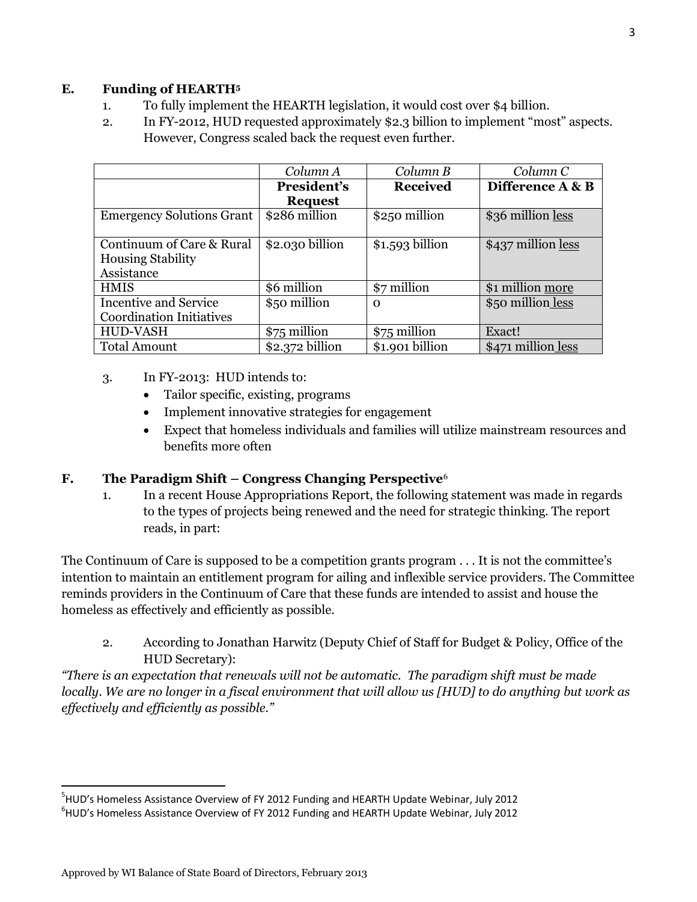#### **E. Funding of HEARTH<sup>5</sup>**

- 1. To fully implement the HEARTH legislation, it would cost over \$4 billion.
- 2. In FY-2012, HUD requested approximately \$2.3 billion to implement "most" aspects. However, Congress scaled back the request even further.

|                                  | Column A         | Column B         | Column C           |
|----------------------------------|------------------|------------------|--------------------|
|                                  | President's      | <b>Received</b>  | Difference A & B   |
|                                  | <b>Request</b>   |                  |                    |
| <b>Emergency Solutions Grant</b> | \$286 million    | \$250 million    | \$36 million less  |
|                                  |                  |                  |                    |
| Continuum of Care & Rural        | \$2.030 billion  | $$1.593$ billion | \$437 million less |
| <b>Housing Stability</b>         |                  |                  |                    |
| Assistance                       |                  |                  |                    |
| <b>HMIS</b>                      | \$6 million      | \$7 million      | \$1 million more   |
| <b>Incentive and Service</b>     | \$50 million     | Ω                | \$50 million less  |
| <b>Coordination Initiatives</b>  |                  |                  |                    |
| HUD-VASH                         | \$75 million     | \$75 million     | Exact!             |
| <b>Total Amount</b>              | $$2.372$ billion | \$1.901 billion  | \$471 million less |

- 3. In FY-2013: HUD intends to:
	- Tailor specific, existing, programs
	- Implement innovative strategies for engagement
	- Expect that homeless individuals and families will utilize mainstream resources and benefits more often

#### **F. The Paradigm Shift – Congress Changing Perspective**<sup>6</sup>

1. In a recent House Appropriations Report, the following statement was made in regards to the types of projects being renewed and the need for strategic thinking. The report reads, in part:

The Continuum of Care is supposed to be a competition grants program . . . It is not the committee's intention to maintain an entitlement program for ailing and inflexible service providers. The Committee reminds providers in the Continuum of Care that these funds are intended to assist and house the homeless as effectively and efficiently as possible.

2. According to Jonathan Harwitz (Deputy Chief of Staff for Budget & Policy, Office of the HUD Secretary):

*"There is an expectation that renewals will not be automatic. The paradigm shift must be made locally. We are no longer in a fiscal environment that will allow us [HUD] to do anything but work as effectively and efficiently as possible."*

 $\overline{a}$ 

<sup>&</sup>lt;sup>5</sup>HUD's Homeless Assistance Overview of FY 2012 Funding and HEARTH Update Webinar, July 2012 6 HUD's Homeless Assistance Overview of FY 2012 Funding and HEARTH Update Webinar, July 2012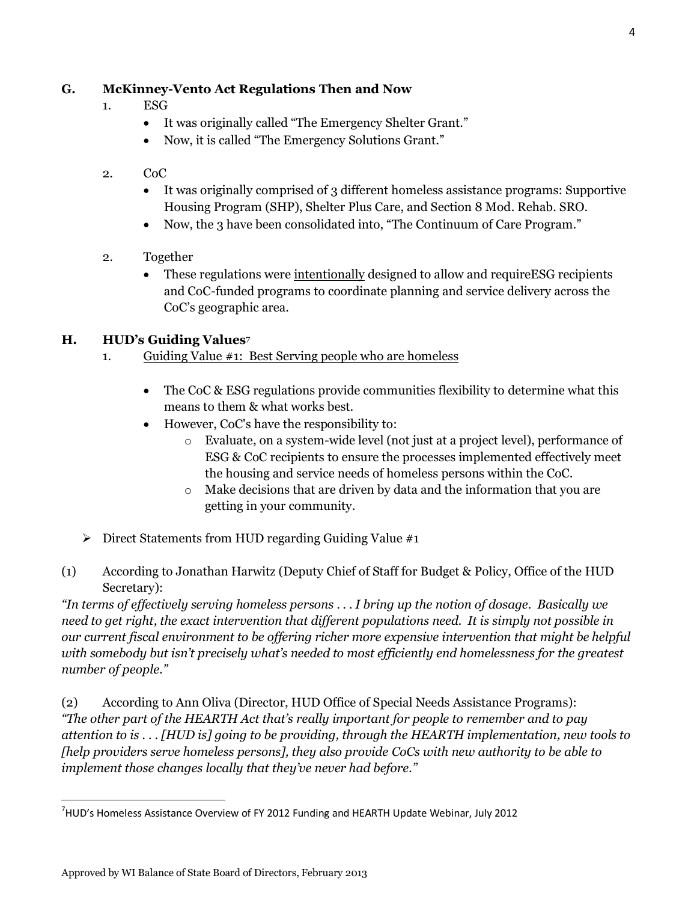## **G. McKinney-Vento Act Regulations Then and Now**

- 1. ESG
	- It was originally called "The Emergency Shelter Grant."
	- Now, it is called "The Emergency Solutions Grant."
- 2. CoC
	- It was originally comprised of 3 different homeless assistance programs: Supportive Housing Program (SHP), Shelter Plus Care, and Section 8 Mod. Rehab. SRO.
	- Now, the 3 have been consolidated into, "The Continuum of Care Program."
- 2. Together
	- These regulations were intentionally designed to allow and requireESG recipients and CoC-funded programs to coordinate planning and service delivery across the CoC's geographic area.

#### **H. HUD's Guiding Values<sup>7</sup>**

- 1. Guiding Value #1: Best Serving people who are homeless
	- The CoC & ESG regulations provide communities flexibility to determine what this means to them & what works best.
	- However, CoC's have the responsibility to:
		- o Evaluate, on a system-wide level (not just at a project level), performance of ESG & CoC recipients to ensure the processes implemented effectively meet the housing and service needs of homeless persons within the CoC.
		- o Make decisions that are driven by data and the information that you are getting in your community.
- $\triangleright$  Direct Statements from HUD regarding Guiding Value #1
- (1) According to Jonathan Harwitz (Deputy Chief of Staff for Budget & Policy, Office of the HUD Secretary):

*"In terms of effectively serving homeless persons . . . I bring up the notion of dosage. Basically we need to get right, the exact intervention that different populations need. It is simply not possible in our current fiscal environment to be offering richer more expensive intervention that might be helpful with somebody but isn't precisely what's needed to most efficiently end homelessness for the greatest number of people."*

(2) According to Ann Oliva (Director, HUD Office of Special Needs Assistance Programs): *"The other part of the HEARTH Act that's really important for people to remember and to pay attention to is . . . [HUD is] going to be providing, through the HEARTH implementation, new tools to [help providers serve homeless persons], they also provide CoCs with new authority to be able to implement those changes locally that they've never had before."*

<sup>&</sup>lt;sup>7</sup>HUD's Homeless Assistance Overview of FY 2012 Funding and HEARTH Update Webinar, July 2012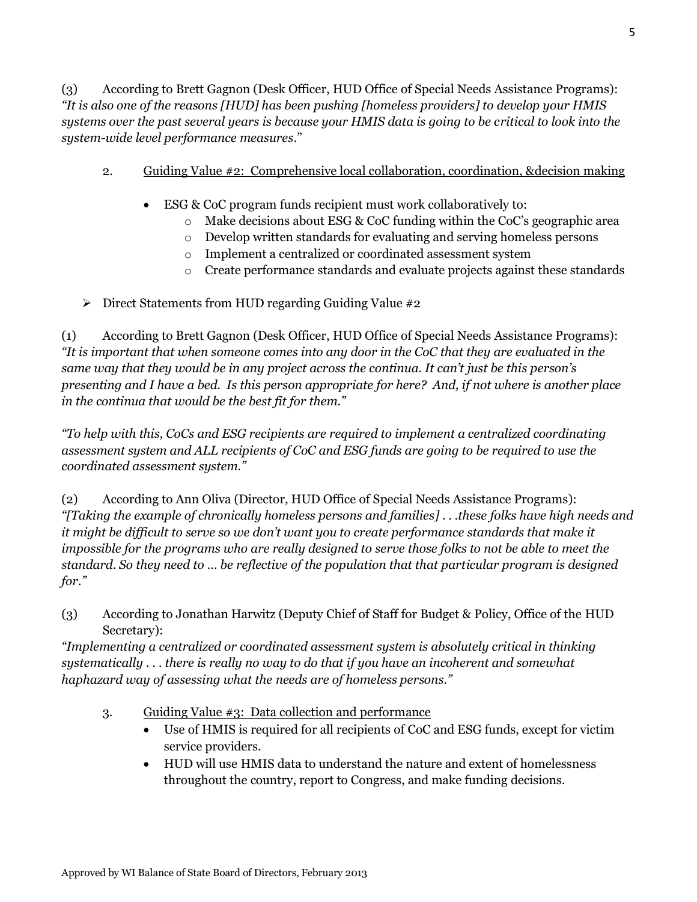(3) According to Brett Gagnon (Desk Officer, HUD Office of Special Needs Assistance Programs): *"It is also one of the reasons [HUD] has been pushing [homeless providers] to develop your HMIS systems over the past several years is because your HMIS data is going to be critical to look into the system-wide level performance measures*."

- 2. Guiding Value #2: Comprehensive local collaboration, coordination, &decision making
	- ESG & CoC program funds recipient must work collaboratively to:
		- $\circ$  Make decisions about ESG & CoC funding within the CoC's geographic area
		- o Develop written standards for evaluating and serving homeless persons
		- o Implement a centralized or coordinated assessment system
		- o Create performance standards and evaluate projects against these standards

 $\triangleright$  Direct Statements from HUD regarding Guiding Value #2

(1) According to Brett Gagnon (Desk Officer, HUD Office of Special Needs Assistance Programs): *"It is important that when someone comes into any door in the CoC that they are evaluated in the same way that they would be in any project across the continua. It can't just be this person's presenting and I have a bed. Is this person appropriate for here? And, if not where is another place in the continua that would be the best fit for them."*

*"To help with this, CoCs and ESG recipients are required to implement a centralized coordinating assessment system and ALL recipients of CoC and ESG funds are going to be required to use the coordinated assessment system."*

(2) According to Ann Oliva (Director, HUD Office of Special Needs Assistance Programs): *"[Taking the example of chronically homeless persons and families] . . .these folks have high needs and it might be difficult to serve so we don't want you to create performance standards that make it impossible for the programs who are really designed to serve those folks to not be able to meet the standard. So they need to … be reflective of the population that that particular program is designed for."*

(3) According to Jonathan Harwitz (Deputy Chief of Staff for Budget & Policy, Office of the HUD Secretary):

*"Implementing a centralized or coordinated assessment system is absolutely critical in thinking systematically . . . there is really no way to do that if you have an incoherent and somewhat haphazard way of assessing what the needs are of homeless persons."*

- 3. Guiding Value #3: Data collection and performance
	- Use of HMIS is required for all recipients of CoC and ESG funds, except for victim service providers.
	- HUD will use HMIS data to understand the nature and extent of homelessness throughout the country, report to Congress, and make funding decisions.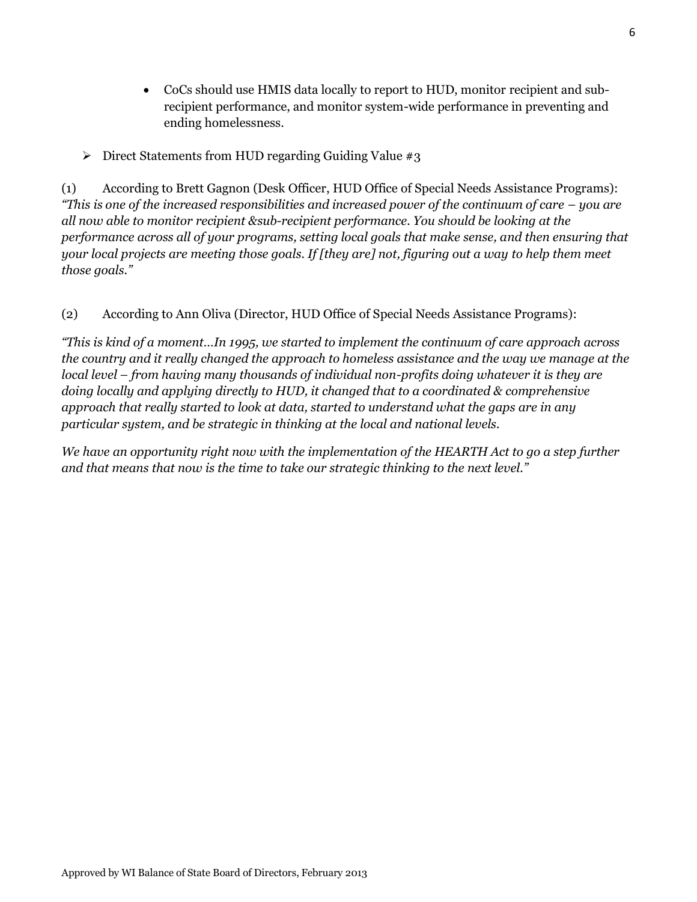- CoCs should use HMIS data locally to report to HUD, monitor recipient and subrecipient performance, and monitor system-wide performance in preventing and ending homelessness.
- $\triangleright$  Direct Statements from HUD regarding Guiding Value #3

(1) According to Brett Gagnon (Desk Officer, HUD Office of Special Needs Assistance Programs): *"This is one of the increased responsibilities and increased power of the continuum of care – you are all now able to monitor recipient &sub-recipient performance. You should be looking at the performance across all of your programs, setting local goals that make sense, and then ensuring that your local projects are meeting those goals. If [they are] not, figuring out a way to help them meet those goals."*

#### (2) According to Ann Oliva (Director, HUD Office of Special Needs Assistance Programs):

*"This is kind of a moment…In 1995, we started to implement the continuum of care approach across the country and it really changed the approach to homeless assistance and the way we manage at the local level – from having many thousands of individual non-profits doing whatever it is they are doing locally and applying directly to HUD, it changed that to a coordinated & comprehensive approach that really started to look at data, started to understand what the gaps are in any particular system, and be strategic in thinking at the local and national levels.* 

*We have an opportunity right now with the implementation of the HEARTH Act to go a step further and that means that now is the time to take our strategic thinking to the next level."*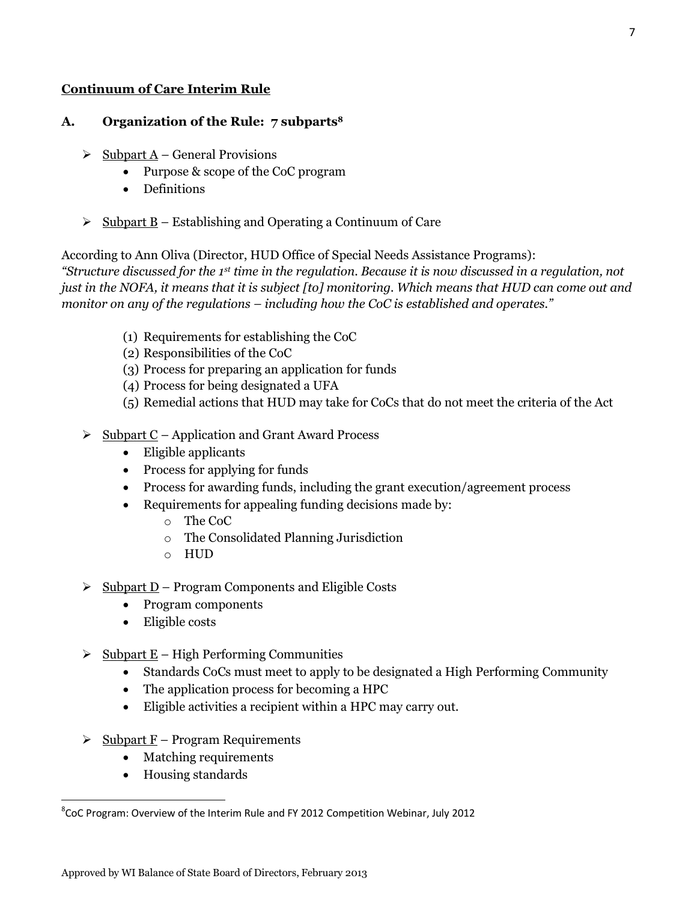#### **Continuum of Care Interim Rule**

#### **A. Organization of the Rule: 7 subparts<sup>8</sup>**

- $\triangleright$  Subpart A General Provisions
	- Purpose & scope of the CoC program
	- Definitions
- $\triangleright$  Subpart B Establishing and Operating a Continuum of Care

According to Ann Oliva (Director, HUD Office of Special Needs Assistance Programs):

*"Structure discussed for the 1st time in the regulation. Because it is now discussed in a regulation, not just in the NOFA, it means that it is subject [to] monitoring. Which means that HUD can come out and monitor on any of the regulations – including how the CoC is established and operates."*

- (1) Requirements for establishing the CoC
- (2) Responsibilities of the CoC
- (3) Process for preparing an application for funds
- (4) Process for being designated a UFA
- (5) Remedial actions that HUD may take for CoCs that do not meet the criteria of the Act
- $\triangleright$  Subpart C Application and Grant Award Process
	- Eligible applicants
	- Process for applying for funds
	- Process for awarding funds, including the grant execution/agreement process
	- Requirements for appealing funding decisions made by:
		- o The CoC
			- o The Consolidated Planning Jurisdiction
			- o HUD
- $\geq$  Subpart D Program Components and Eligible Costs
	- Program components
	- Eligible costs
- $\geq$  Subpart E High Performing Communities
	- Standards CoCs must meet to apply to be designated a High Performing Community
	- The application process for becoming a HPC
	- Eligible activities a recipient within a HPC may carry out.
- $\triangleright$  Subpart F Program Requirements
	- Matching requirements
	- Housing standards

 ${}^{8}$ CoC Program: Overview of the Interim Rule and FY 2012 Competition Webinar, July 2012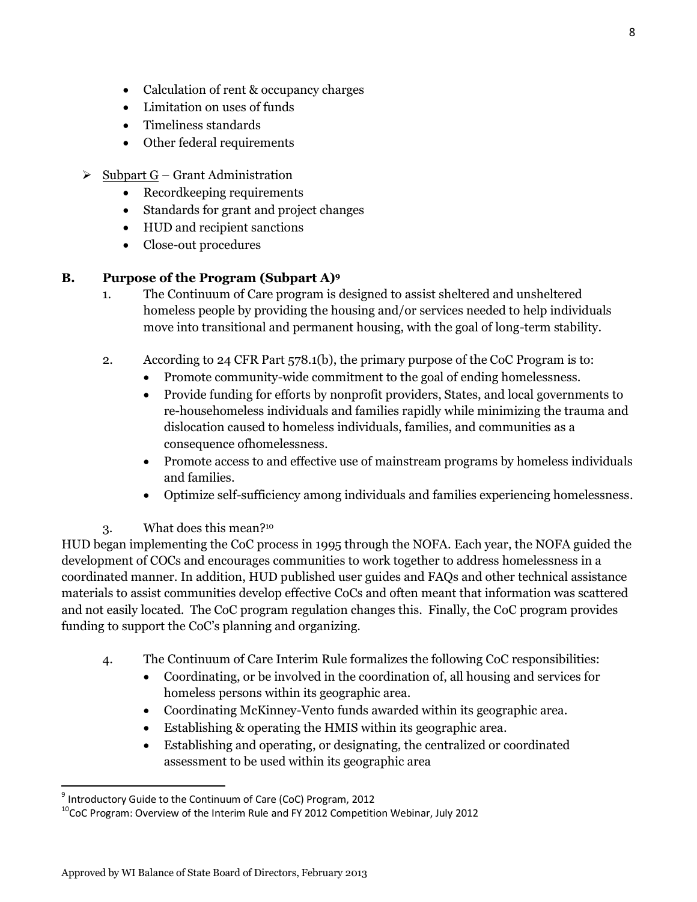- Calculation of rent & occupancy charges
- Limitation on uses of funds
- Timeliness standards
- Other federal requirements
- $\geq$  Subpart G Grant Administration
	- Recordkeeping requirements
	- Standards for grant and project changes
	- HUD and recipient sanctions
	- Close-out procedures

#### **B. Purpose of the Program (Subpart A)<sup>9</sup>**

- 1. The Continuum of Care program is designed to assist sheltered and unsheltered homeless people by providing the housing and/or services needed to help individuals move into transitional and permanent housing, with the goal of long-term stability.
- 2. According to 24 CFR Part 578.1(b), the primary purpose of the CoC Program is to:
	- Promote community-wide commitment to the goal of ending homelessness.
	- Provide funding for efforts by nonprofit providers, States, and local governments to re-househomeless individuals and families rapidly while minimizing the trauma and dislocation caused to homeless individuals, families, and communities as a consequence ofhomelessness.
	- Promote access to and effective use of mainstream programs by homeless individuals and families.
	- Optimize self-sufficiency among individuals and families experiencing homelessness.

#### 3. What does this mean?<sup>10</sup>

HUD began implementing the CoC process in 1995 through the NOFA. Each year, the NOFA guided the development of COCs and encourages communities to work together to address homelessness in a coordinated manner. In addition, HUD published user guides and FAQs and other technical assistance materials to assist communities develop effective CoCs and often meant that information was scattered and not easily located. The CoC program regulation changes this. Finally, the CoC program provides funding to support the CoC's planning and organizing.

- 4. The Continuum of Care Interim Rule formalizes the following CoC responsibilities:
	- Coordinating, or be involved in the coordination of, all housing and services for homeless persons within its geographic area.
	- Coordinating McKinney-Vento funds awarded within its geographic area.
	- Establishing & operating the HMIS within its geographic area.
	- Establishing and operating, or designating, the centralized or coordinated assessment to be used within its geographic area

 $\overline{a}$ 

<sup>&</sup>lt;sup>9</sup> Introductory Guide to the Continuum of Care (CoC) Program, 2012

 $10$ CoC Program: Overview of the Interim Rule and FY 2012 Competition Webinar, July 2012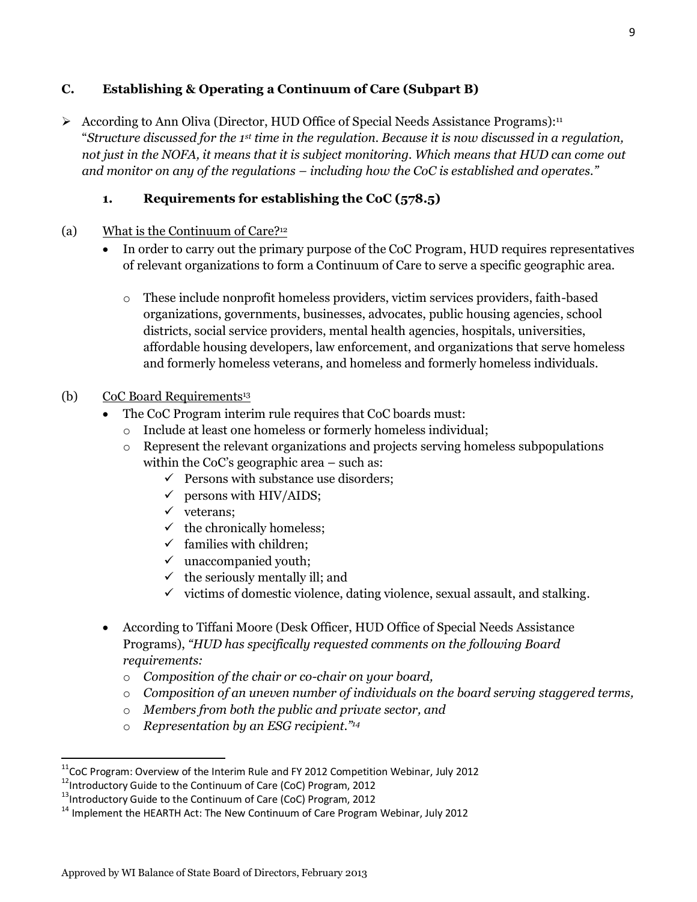#### **C. Establishing & Operating a Continuum of Care (Subpart B)**

According to Ann Oliva (Director, HUD Office of Special Needs Assistance Programs):<sup>11</sup> "*Structure discussed for the 1st time in the regulation. Because it is now discussed in a regulation, not just in the NOFA, it means that it is subject monitoring. Which means that HUD can come out and monitor on any of the regulations – including how the CoC is established and operates."*

## **1. Requirements for establishing the CoC (578.5)**

- (a) What is the Continuum of Care?<sup>12</sup>
	- In order to carry out the primary purpose of the CoC Program, HUD requires representatives of relevant organizations to form a Continuum of Care to serve a specific geographic area.
		- o These include nonprofit homeless providers, victim services providers, faith-based organizations, governments, businesses, advocates, public housing agencies, school districts, social service providers, mental health agencies, hospitals, universities, affordable housing developers, law enforcement, and organizations that serve homeless and formerly homeless veterans, and homeless and formerly homeless individuals.

#### (b) CoC Board Requirements<sup>13</sup>

- The CoC Program interim rule requires that CoC boards must:
	- o Include at least one homeless or formerly homeless individual;
	- o Represent the relevant organizations and projects serving homeless subpopulations within the CoC's geographic area – such as:
		- $\checkmark$  Persons with substance use disorders;
		- $\checkmark$  persons with HIV/AIDS;
		- $\checkmark$  veterans;
		- $\checkmark$  the chronically homeless;
		- $\checkmark$  families with children;
		- $\checkmark$  unaccompanied youth;
		- $\checkmark$  the seriously mentally ill; and
		- $\checkmark$  victims of domestic violence, dating violence, sexual assault, and stalking.
- According to Tiffani Moore (Desk Officer, HUD Office of Special Needs Assistance Programs), *"HUD has specifically requested comments on the following Board requirements:* 
	- o *Composition of the chair or co-chair on your board,*
	- o *Composition of an uneven number of individuals on the board serving staggered terms,*
	- o *Members from both the public and private sector, and*
	- o *Representation by an ESG recipient." 14*

 $11$ CoC Program: Overview of the Interim Rule and FY 2012 Competition Webinar, July 2012

<sup>12</sup>Introductory Guide to the Continuum of Care (CoC) Program, 2012

<sup>&</sup>lt;sup>13</sup>Introductory Guide to the Continuum of Care (CoC) Program, 2012

 $14$  Implement the HEARTH Act: The New Continuum of Care Program Webinar, July 2012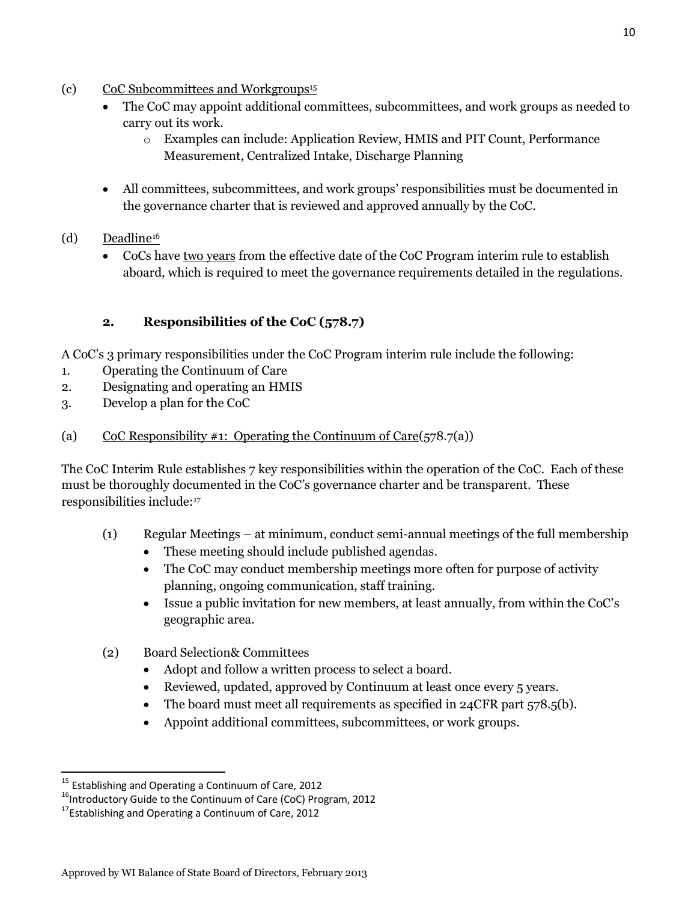- (c) CoC Subcommittees and Workgroups<sup>15</sup>
	- The CoC may appoint additional committees, subcommittees, and work groups as needed to carry out its work.
		- o Examples can include: Application Review, HMIS and PIT Count, Performance Measurement, Centralized Intake, Discharge Planning
	- All committees, subcommittees, and work groups' responsibilities must be documented in the governance charter that is reviewed and approved annually by the CoC.
- (d) Deadline<sup>16</sup>
	- CoCs have two years from the effective date of the CoC Program interim rule to establish aboard, which is required to meet the governance requirements detailed in the regulations.

# **2. Responsibilities of the CoC (578.7)**

A CoC's 3 primary responsibilities under the CoC Program interim rule include the following:

- 1. Operating the Continuum of Care
- 2. Designating and operating an HMIS
- 3. Develop a plan for the CoC
- (a) CoC Responsibility #1: Operating the Continuum of Care $(578.7(a))$

The CoC Interim Rule establishes 7 key responsibilities within the operation of the CoC. Each of these must be thoroughly documented in the CoC's governance charter and be transparent. These responsibilities include:<sup>17</sup>

- (1) Regular Meetings at minimum, conduct semi-annual meetings of the full membership
	- These meeting should include published agendas.
	- The CoC may conduct membership meetings more often for purpose of activity planning, ongoing communication, staff training.
	- Issue a public invitation for new members, at least annually, from within the CoC's geographic area.
- (2) Board Selection& Committees
	- Adopt and follow a written process to select a board.
	- Reviewed, updated, approved by Continuum at least once every 5 years.
	- The board must meet all requirements as specified in 24CFR part 578.5(b).
	- Appoint additional committees, subcommittees, or work groups.

<sup>&</sup>lt;sup>15</sup> Establishing and Operating a Continuum of Care, 2012

<sup>&</sup>lt;sup>16</sup>Introductory Guide to the Continuum of Care (CoC) Program, 2012

 $17$ Establishing and Operating a Continuum of Care, 2012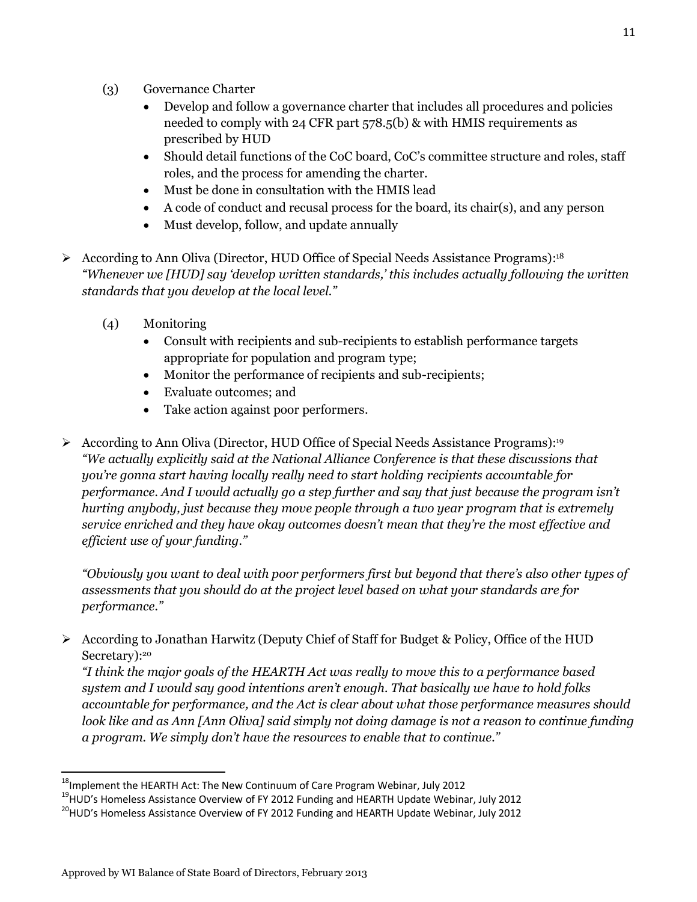- (3) Governance Charter
	- Develop and follow a governance charter that includes all procedures and policies needed to comply with 24 CFR part 578.5(b) & with HMIS requirements as prescribed by HUD
	- Should detail functions of the CoC board, CoC's committee structure and roles, staff roles, and the process for amending the charter.
	- Must be done in consultation with the HMIS lead
	- A code of conduct and recusal process for the board, its chair(s), and any person
	- Must develop, follow, and update annually
- According to Ann Oliva (Director, HUD Office of Special Needs Assistance Programs):<sup>18</sup> *"Whenever we [HUD] say 'develop written standards,' this includes actually following the written standards that you develop at the local level."*
	- (4) Monitoring
		- Consult with recipients and sub-recipients to establish performance targets appropriate for population and program type;
		- Monitor the performance of recipients and sub-recipients;
		- Evaluate outcomes; and
		- Take action against poor performers.
- According to Ann Oliva (Director, HUD Office of Special Needs Assistance Programs):<sup>19</sup> *"We actually explicitly said at the National Alliance Conference is that these discussions that you're gonna start having locally really need to start holding recipients accountable for performance. And I would actually go a step further and say that just because the program isn't hurting anybody, just because they move people through a two year program that is extremely service enriched and they have okay outcomes doesn't mean that they're the most effective and efficient use of your funding."*

*"Obviously you want to deal with poor performers first but beyond that there's also other types of assessments that you should do at the project level based on what your standards are for performance."*

 $\triangleright$  According to Jonathan Harwitz (Deputy Chief of Staff for Budget & Policy, Office of the HUD Secretary):<sup>20</sup>

*"I think the major goals of the HEARTH Act was really to move this to a performance based system and I would say good intentions aren't enough. That basically we have to hold folks accountable for performance, and the Act is clear about what those performance measures should look like and as Ann [Ann Oliva] said simply not doing damage is not a reason to continue funding a program. We simply don't have the resources to enable that to continue."*

 $^{18}$ Implement the HEARTH Act: The New Continuum of Care Program Webinar, July 2012

<sup>&</sup>lt;sup>19</sup>HUD's Homeless Assistance Overview of FY 2012 Funding and HEARTH Update Webinar, July 2012

<sup>&</sup>lt;sup>20</sup>HUD's Homeless Assistance Overview of FY 2012 Funding and HEARTH Update Webinar, July 2012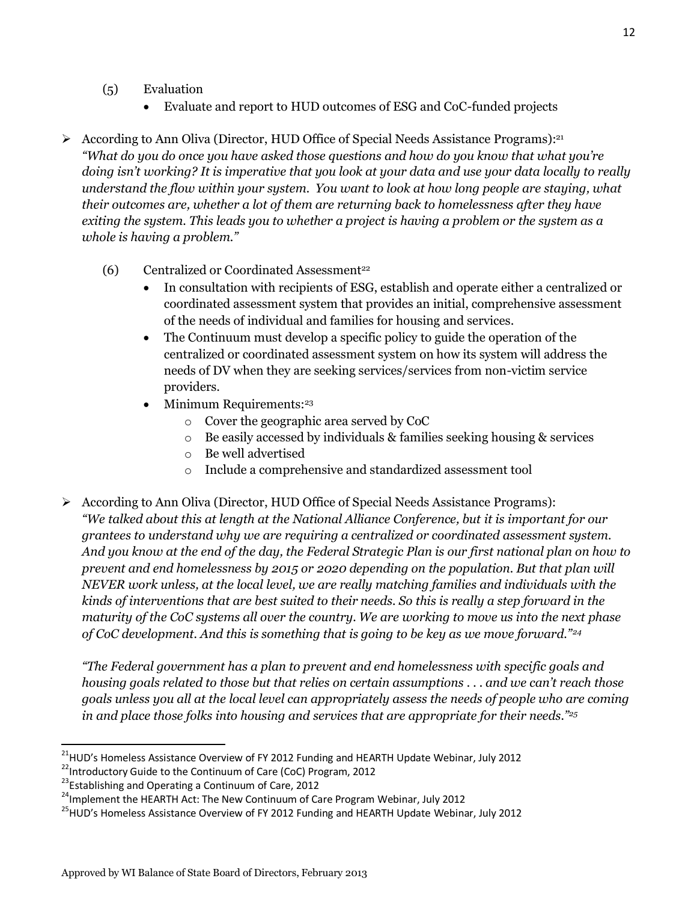- (5) Evaluation
	- Evaluate and report to HUD outcomes of ESG and CoC-funded projects
- According to Ann Oliva (Director, HUD Office of Special Needs Assistance Programs):<sup>21</sup> *"What do you do once you have asked those questions and how do you know that what you're doing isn't working? It is imperative that you look at your data and use your data locally to really understand the flow within your system. You want to look at how long people are staying, what their outcomes are, whether a lot of them are returning back to homelessness after they have exiting the system. This leads you to whether a project is having a problem or the system as a whole is having a problem."*
	- (6) Centralized or Coordinated Assessment<sup>22</sup>
		- In consultation with recipients of ESG, establish and operate either a centralized or coordinated assessment system that provides an initial, comprehensive assessment of the needs of individual and families for housing and services.
		- The Continuum must develop a specific policy to guide the operation of the centralized or coordinated assessment system on how its system will address the needs of DV when they are seeking services/services from non-victim service providers.
		- $\bullet$  Minimum Requirements:<sup>23</sup>
			- o Cover the geographic area served by CoC
			- o Be easily accessed by individuals & families seeking housing & services
			- o Be well advertised
			- o Include a comprehensive and standardized assessment tool
- According to Ann Oliva (Director, HUD Office of Special Needs Assistance Programs): *"We talked about this at length at the National Alliance Conference, but it is important for our grantees to understand why we are requiring a centralized or coordinated assessment system. And you know at the end of the day, the Federal Strategic Plan is our first national plan on how to prevent and end homelessness by 2015 or 2020 depending on the population. But that plan will NEVER work unless, at the local level, we are really matching families and individuals with the kinds of interventions that are best suited to their needs. So this is really a step forward in the maturity of the CoC systems all over the country. We are working to move us into the next phase of CoC development. And this is something that is going to be key as we move forward."<sup>24</sup>*

*"The Federal government has a plan to prevent and end homelessness with specific goals and housing goals related to those but that relies on certain assumptions . . . and we can't reach those goals unless you all at the local level can appropriately assess the needs of people who are coming in and place those folks into housing and services that are appropriate for their needs."<sup>25</sup>*

 $\overline{a}$ <sup>21</sup>HUD's Homeless Assistance Overview of FY 2012 Funding and HEARTH Update Webinar, July 2012

<sup>&</sup>lt;sup>22</sup>Introductory Guide to the Continuum of Care (CoC) Program, 2012

<sup>&</sup>lt;sup>23</sup>Establishing and Operating a Continuum of Care, 2012

<sup>&</sup>lt;sup>24</sup>Implement the HEARTH Act: The New Continuum of Care Program Webinar, July 2012

<sup>&</sup>lt;sup>25</sup>HUD's Homeless Assistance Overview of FY 2012 Funding and HEARTH Update Webinar, July 2012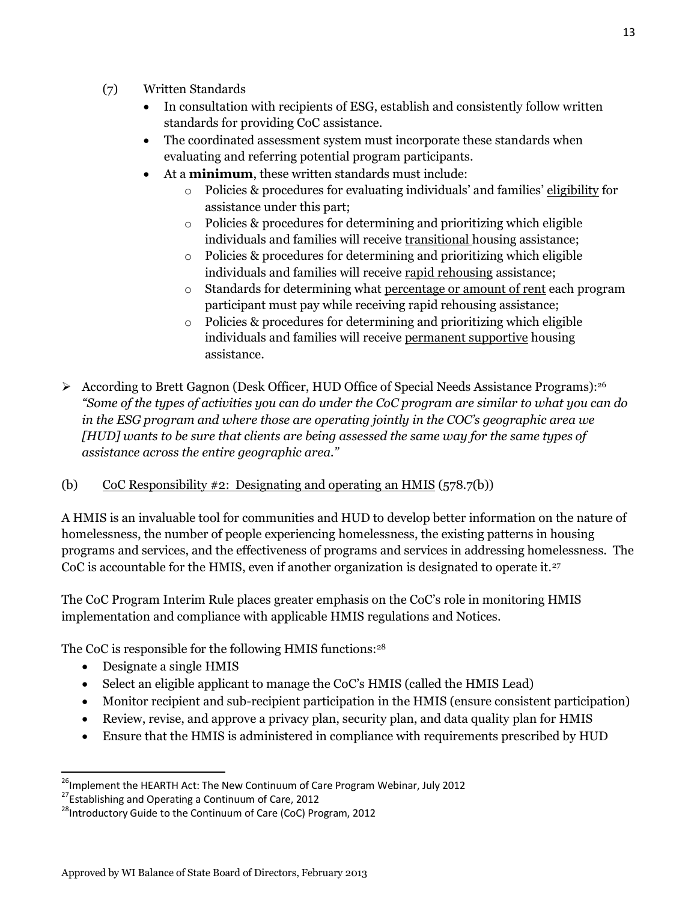- (7) Written Standards
	- In consultation with recipients of ESG, establish and consistently follow written standards for providing CoC assistance.
	- The coordinated assessment system must incorporate these standards when evaluating and referring potential program participants.
	- At a **minimum**, these written standards must include:
		- o Policies & procedures for evaluating individuals' and families' eligibility for assistance under this part;
		- o Policies & procedures for determining and prioritizing which eligible individuals and families will receive transitional housing assistance;
		- o Policies & procedures for determining and prioritizing which eligible individuals and families will receive rapid rehousing assistance;
		- o Standards for determining what percentage or amount of rent each program participant must pay while receiving rapid rehousing assistance;
		- o Policies & procedures for determining and prioritizing which eligible individuals and families will receive permanent supportive housing assistance.
- According to Brett Gagnon (Desk Officer, HUD Office of Special Needs Assistance Programs):<sup>26</sup> *"Some of the types of activities you can do under the CoC program are similar to what you can do in the ESG program and where those are operating jointly in the COC's geographic area we [HUD] wants to be sure that clients are being assessed the same way for the same types of assistance across the entire geographic area."*

## (b) CoC Responsibility #2: Designating and operating an HMIS ( $578.7(b)$ )

A HMIS is an invaluable tool for communities and HUD to develop better information on the nature of homelessness, the number of people experiencing homelessness, the existing patterns in housing programs and services, and the effectiveness of programs and services in addressing homelessness. The CoC is accountable for the HMIS, even if another organization is designated to operate it.<sup>27</sup>

The CoC Program Interim Rule places greater emphasis on the CoC's role in monitoring HMIS implementation and compliance with applicable HMIS regulations and Notices.

The CoC is responsible for the following HMIS functions:<sup>28</sup>

Designate a single HMIS

- Select an eligible applicant to manage the CoC's HMIS (called the HMIS Lead)
- Monitor recipient and sub-recipient participation in the HMIS (ensure consistent participation)
- Review, revise, and approve a privacy plan, security plan, and data quality plan for HMIS
- Ensure that the HMIS is administered in compliance with requirements prescribed by HUD

<sup>&</sup>lt;sup>26</sup>Implement the HEARTH Act: The New Continuum of Care Program Webinar, July 2012

<sup>&</sup>lt;sup>27</sup>Establishing and Operating a Continuum of Care, 2012

 $^{28}$ Introductory Guide to the Continuum of Care (CoC) Program, 2012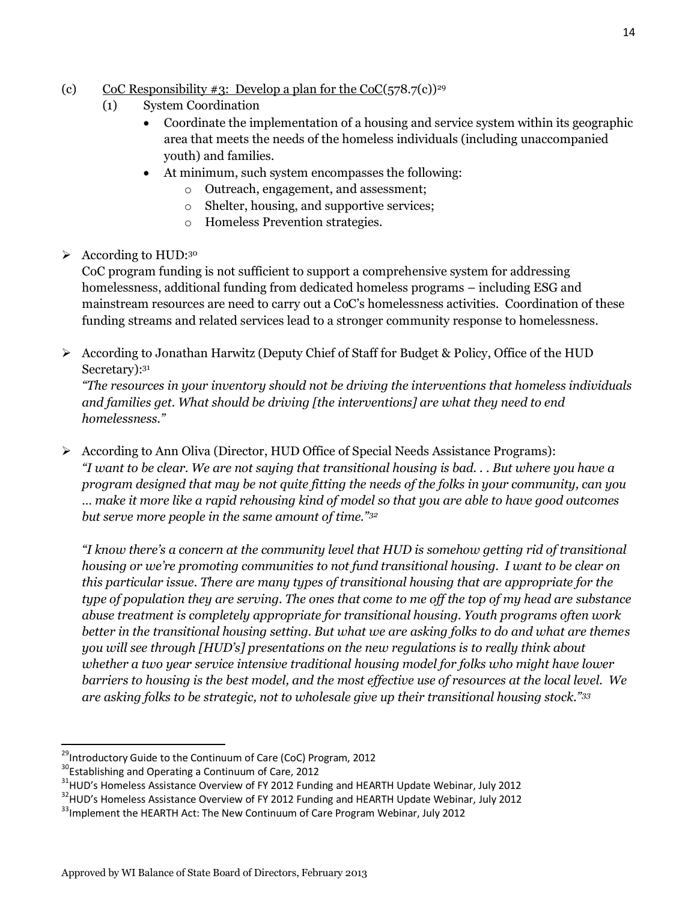### (c) CoC Responsibility #3: Develop a plan for the CoC( $578.7(c)$ )<sup>29</sup>

- (1) System Coordination
	- Coordinate the implementation of a housing and service system within its geographic area that meets the needs of the homeless individuals (including unaccompanied youth) and families.
	- At minimum, such system encompasses the following:
		- o Outreach, engagement, and assessment;
		- o Shelter, housing, and supportive services;
		- o Homeless Prevention strategies.
- $\triangleright$  According to HUD:<sup>30</sup>

CoC program funding is not sufficient to support a comprehensive system for addressing homelessness, additional funding from dedicated homeless programs – including ESG and mainstream resources are need to carry out a CoC's homelessness activities. Coordination of these funding streams and related services lead to a stronger community response to homelessness.

 $\triangleright$  According to Jonathan Harwitz (Deputy Chief of Staff for Budget & Policy, Office of the HUD Secretary): 31

*"The resources in your inventory should not be driving the interventions that homeless individuals and families get. What should be driving [the interventions] are what they need to end homelessness."*

 $\triangleright$  According to Ann Oliva (Director, HUD Office of Special Needs Assistance Programs): *"I want to be clear. We are not saying that transitional housing is bad. . . But where you have a program designed that may be not quite fitting the needs of the folks in your community, can you … make it more like a rapid rehousing kind of model so that you are able to have good outcomes but serve more people in the same amount of time."<sup>32</sup>*

*"I know there's a concern at the community level that HUD is somehow getting rid of transitional housing or we're promoting communities to not fund transitional housing. I want to be clear on this particular issue. There are many types of transitional housing that are appropriate for the type of population they are serving. The ones that come to me off the top of my head are substance abuse treatment is completely appropriate for transitional housing. Youth programs often work better in the transitional housing setting. But what we are asking folks to do and what are themes you will see through [HUD's] presentations on the new regulations is to really think about whether a two year service intensive traditional housing model for folks who might have lower barriers to housing is the best model, and the most effective use of resources at the local level. We are asking folks to be strategic, not to wholesale give up their transitional housing stock."<sup>33</sup>*

 $\overline{a}$ 

 $29$ Introductory Guide to the Continuum of Care (CoC) Program, 2012

<sup>&</sup>lt;sup>30</sup>Establishing and Operating a Continuum of Care, 2012

<sup>&</sup>lt;sup>31</sup>HUD's Homeless Assistance Overview of FY 2012 Funding and HEARTH Update Webinar, July 2012

<sup>&</sup>lt;sup>32</sup>HUD's Homeless Assistance Overview of FY 2012 Funding and HEARTH Update Webinar, July 2012

<sup>&</sup>lt;sup>33</sup>Implement the HEARTH Act: The New Continuum of Care Program Webinar, July 2012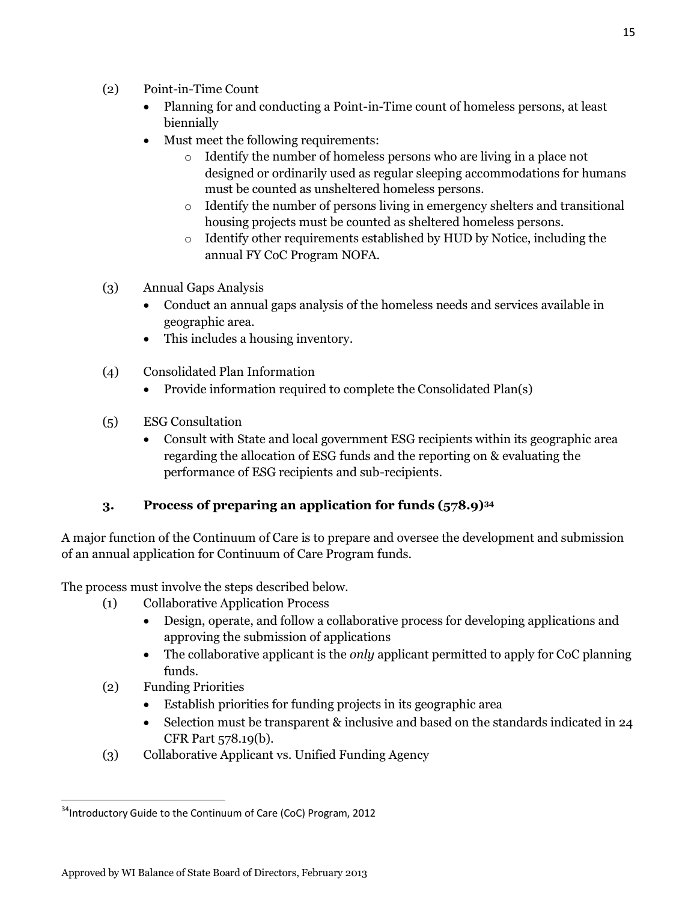- (2) Point-in-Time Count
	- Planning for and conducting a Point-in-Time count of homeless persons, at least biennially
	- Must meet the following requirements:
		- o Identify the number of homeless persons who are living in a place not designed or ordinarily used as regular sleeping accommodations for humans must be counted as unsheltered homeless persons.
		- o Identify the number of persons living in emergency shelters and transitional housing projects must be counted as sheltered homeless persons.
		- o Identify other requirements established by HUD by Notice, including the annual FY CoC Program NOFA.
- (3) Annual Gaps Analysis
	- Conduct an annual gaps analysis of the homeless needs and services available in geographic area.
	- This includes a housing inventory.
- (4) Consolidated Plan Information
	- Provide information required to complete the Consolidated Plan(s)
- (5) ESG Consultation
	- Consult with State and local government ESG recipients within its geographic area regarding the allocation of ESG funds and the reporting on & evaluating the performance of ESG recipients and sub-recipients.

## **3. Process of preparing an application for funds (578.9)<sup>34</sup>**

A major function of the Continuum of Care is to prepare and oversee the development and submission of an annual application for Continuum of Care Program funds.

The process must involve the steps described below.

- (1) Collaborative Application Process
	- Design, operate, and follow a collaborative process for developing applications and approving the submission of applications
	- The collaborative applicant is the *only* applicant permitted to apply for CoC planning funds.
- (2) Funding Priorities
	- Establish priorities for funding projects in its geographic area
	- Selection must be transparent & inclusive and based on the standards indicated in 24 CFR Part 578.19(b).
- (3) Collaborative Applicant vs. Unified Funding Agency

 $\overline{\phantom{a}}$  $34$ Introductory Guide to the Continuum of Care (CoC) Program, 2012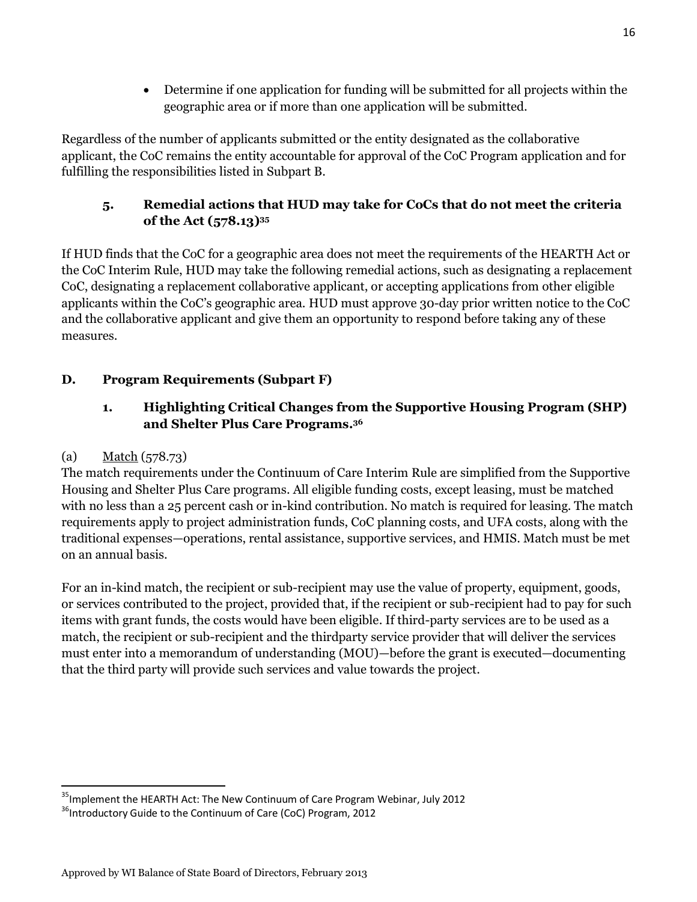Determine if one application for funding will be submitted for all projects within the geographic area or if more than one application will be submitted.

Regardless of the number of applicants submitted or the entity designated as the collaborative applicant, the CoC remains the entity accountable for approval of the CoC Program application and for fulfilling the responsibilities listed in Subpart B.

# **5. Remedial actions that HUD may take for CoCs that do not meet the criteria of the Act (578.13)<sup>35</sup>**

If HUD finds that the CoC for a geographic area does not meet the requirements of the HEARTH Act or the CoC Interim Rule, HUD may take the following remedial actions, such as designating a replacement CoC, designating a replacement collaborative applicant, or accepting applications from other eligible applicants within the CoC's geographic area. HUD must approve 30-day prior written notice to the CoC and the collaborative applicant and give them an opportunity to respond before taking any of these measures.

# **D. Program Requirements (Subpart F)**

# **1. Highlighting Critical Changes from the Supportive Housing Program (SHP) and Shelter Plus Care Programs.<sup>36</sup>**

## (a) Match (578.73)

The match requirements under the Continuum of Care Interim Rule are simplified from the Supportive Housing and Shelter Plus Care programs. All eligible funding costs, except leasing, must be matched with no less than a 25 percent cash or in-kind contribution. No match is required for leasing. The match requirements apply to project administration funds, CoC planning costs, and UFA costs, along with the traditional expenses—operations, rental assistance, supportive services, and HMIS. Match must be met on an annual basis.

For an in-kind match, the recipient or sub-recipient may use the value of property, equipment, goods, or services contributed to the project, provided that, if the recipient or sub-recipient had to pay for such items with grant funds, the costs would have been eligible. If third-party services are to be used as a match, the recipient or sub-recipient and the thirdparty service provider that will deliver the services must enter into a memorandum of understanding (MOU)—before the grant is executed—documenting that the third party will provide such services and value towards the project.

 $\overline{a}$ <sup>35</sup>Implement the HEARTH Act: The New Continuum of Care Program Webinar, July 2012

 $36$ Introductory Guide to the Continuum of Care (CoC) Program, 2012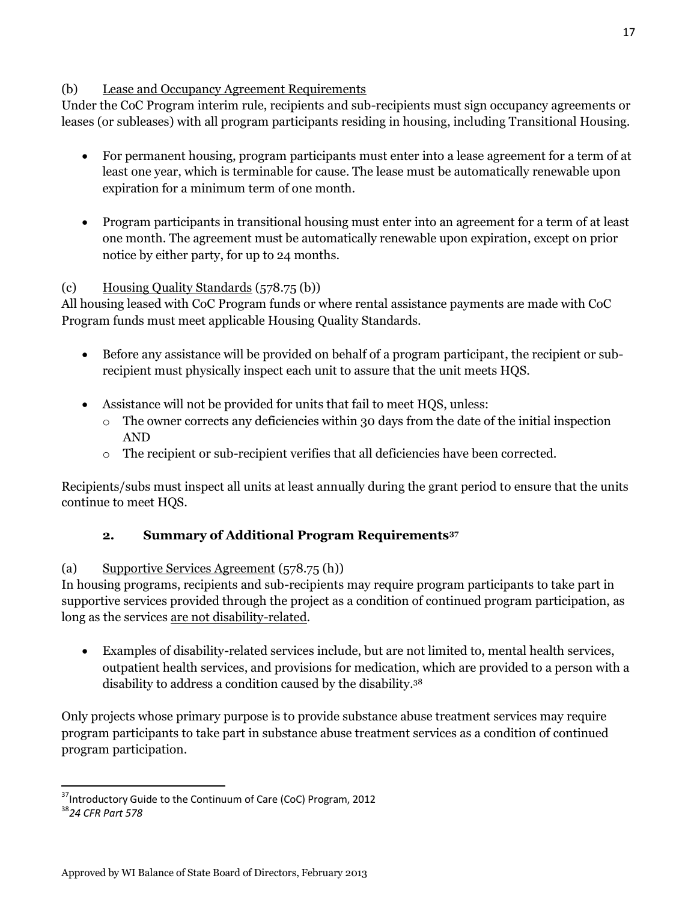#### (b) Lease and Occupancy Agreement Requirements

Under the CoC Program interim rule, recipients and sub-recipients must sign occupancy agreements or leases (or subleases) with all program participants residing in housing, including Transitional Housing.

- For permanent housing, program participants must enter into a lease agreement for a term of at least one year, which is terminable for cause. The lease must be automatically renewable upon expiration for a minimum term of one month.
- Program participants in transitional housing must enter into an agreement for a term of at least one month. The agreement must be automatically renewable upon expiration, except on prior notice by either party, for up to 24 months.

#### (c) Housing Quality Standards (578.75 (b))

All housing leased with CoC Program funds or where rental assistance payments are made with CoC Program funds must meet applicable Housing Quality Standards.

- Before any assistance will be provided on behalf of a program participant, the recipient or subrecipient must physically inspect each unit to assure that the unit meets HQS.
- Assistance will not be provided for units that fail to meet HQS, unless:
	- o The owner corrects any deficiencies within 30 days from the date of the initial inspection AND
	- o The recipient or sub-recipient verifies that all deficiencies have been corrected.

Recipients/subs must inspect all units at least annually during the grant period to ensure that the units continue to meet HQS.

## **2. Summary of Additional Program Requirements<sup>37</sup>**

## (a) Supportive Services Agreement (578.75 (h))

In housing programs, recipients and sub-recipients may require program participants to take part in supportive services provided through the project as a condition of continued program participation, as long as the services are not disability-related.

 Examples of disability-related services include, but are not limited to, mental health services, outpatient health services, and provisions for medication, which are provided to a person with a disability to address a condition caused by the disability.<sup>38</sup>

Only projects whose primary purpose is to provide substance abuse treatment services may require program participants to take part in substance abuse treatment services as a condition of continued program participation.

 $\overline{a}$ <sup>37</sup>Introductory Guide to the Continuum of Care (CoC) Program, 2012

<sup>38</sup>*24 CFR Part 578*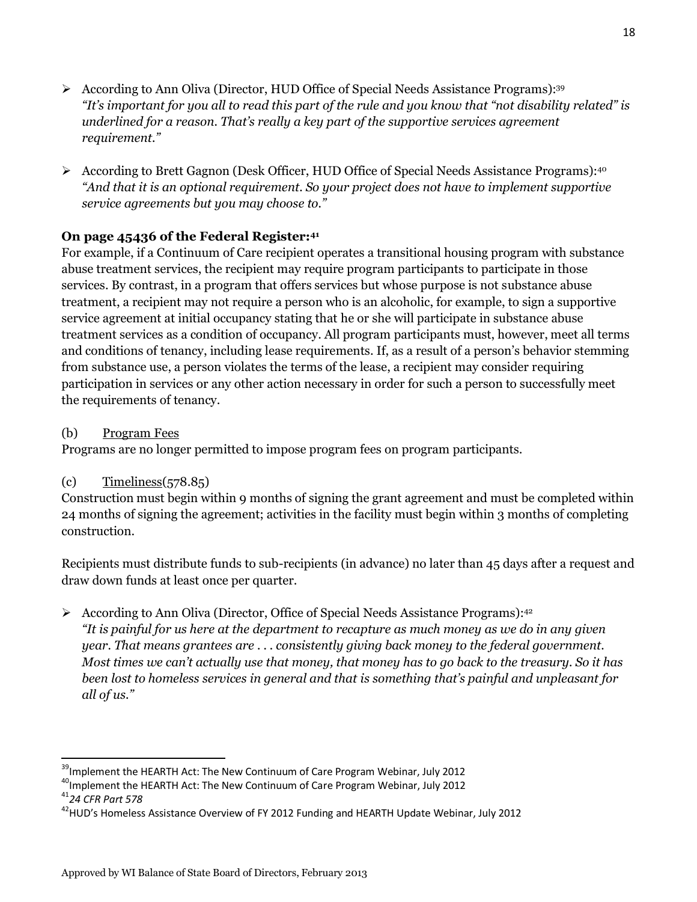- According to Ann Oliva (Director, HUD Office of Special Needs Assistance Programs):  $39$ *"It's important for you all to read this part of the rule and you know that "not disability related" is underlined for a reason. That's really a key part of the supportive services agreement requirement."*
- According to Brett Gagnon (Desk Officer, HUD Office of Special Needs Assistance Programs):<sup>40</sup> *"And that it is an optional requirement. So your project does not have to implement supportive service agreements but you may choose to."*

## **On page 45436 of the Federal Register:<sup>41</sup>**

For example, if a Continuum of Care recipient operates a transitional housing program with substance abuse treatment services, the recipient may require program participants to participate in those services. By contrast, in a program that offers services but whose purpose is not substance abuse treatment, a recipient may not require a person who is an alcoholic, for example, to sign a supportive service agreement at initial occupancy stating that he or she will participate in substance abuse treatment services as a condition of occupancy. All program participants must, however, meet all terms and conditions of tenancy, including lease requirements. If, as a result of a person's behavior stemming from substance use, a person violates the terms of the lease, a recipient may consider requiring participation in services or any other action necessary in order for such a person to successfully meet the requirements of tenancy.

## (b) Program Fees

Programs are no longer permitted to impose program fees on program participants.

## $\text{(c)}$  Timeliness(578.85)

Construction must begin within 9 months of signing the grant agreement and must be completed within 24 months of signing the agreement; activities in the facility must begin within 3 months of completing construction.

Recipients must distribute funds to sub-recipients (in advance) no later than 45 days after a request and draw down funds at least once per quarter.

According to Ann Oliva (Director, Office of Special Needs Assistance Programs): $42$ *"It is painful for us here at the department to recapture as much money as we do in any given year. That means grantees are . . . consistently giving back money to the federal government. Most times we can't actually use that money, that money has to go back to the treasury. So it has been lost to homeless services in general and that is something that's painful and unpleasant for all of us."*

 $\overline{\phantom{a}}$ <sup>39</sup>Implement the HEARTH Act: The New Continuum of Care Program Webinar, July 2012

<sup>&</sup>lt;sup>40</sup>Implement the HEARTH Act: The New Continuum of Care Program Webinar, July 2012

<sup>41</sup>*24 CFR Part 578*

 $^{42}$ HUD's Homeless Assistance Overview of FY 2012 Funding and HEARTH Update Webinar, July 2012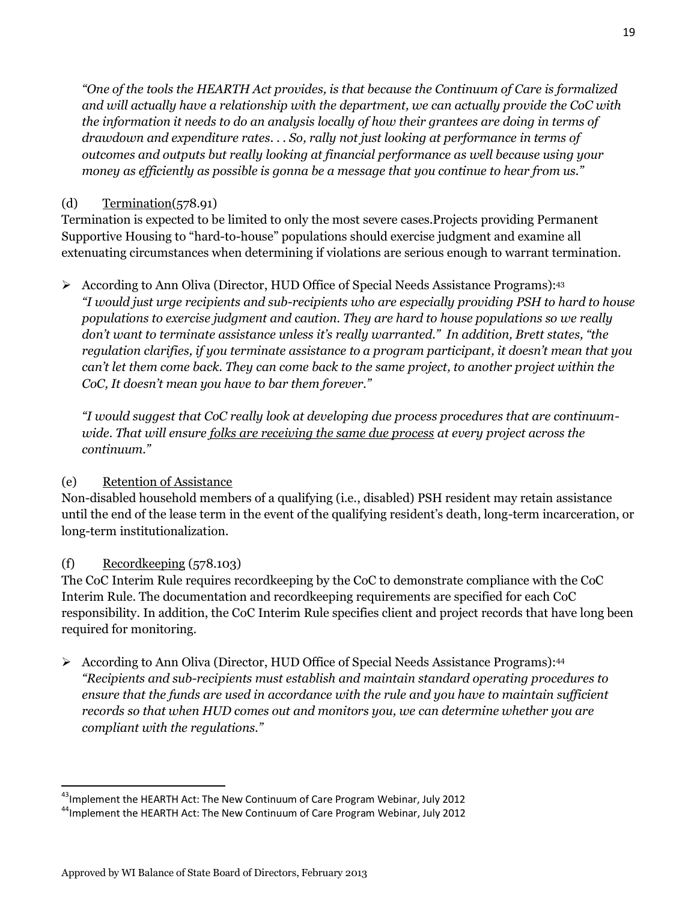*"One of the tools the HEARTH Act provides, is that because the Continuum of Care is formalized and will actually have a relationship with the department, we can actually provide the CoC with the information it needs to do an analysis locally of how their grantees are doing in terms of drawdown and expenditure rates. . . So, rally not just looking at performance in terms of outcomes and outputs but really looking at financial performance as well because using your money as efficiently as possible is gonna be a message that you continue to hear from us."*

### $(d)$  Termination( $578.91$ )

Termination is expected to be limited to only the most severe cases.Projects providing Permanent Supportive Housing to "hard-to-house" populations should exercise judgment and examine all extenuating circumstances when determining if violations are serious enough to warrant termination.

According to Ann Oliva (Director, HUD Office of Special Needs Assistance Programs):<sup>43</sup> *"I would just urge recipients and sub-recipients who are especially providing PSH to hard to house populations to exercise judgment and caution. They are hard to house populations so we really don't want to terminate assistance unless it's really warranted." In addition, Brett states, "the regulation clarifies, if you terminate assistance to a program participant, it doesn't mean that you can't let them come back. They can come back to the same project, to another project within the CoC, It doesn't mean you have to bar them forever."*

*"I would suggest that CoC really look at developing due process procedures that are continuumwide. That will ensure folks are receiving the same due process at every project across the continuum."* 

## (e) Retention of Assistance

Non-disabled household members of a qualifying (i.e., disabled) PSH resident may retain assistance until the end of the lease term in the event of the qualifying resident's death, long-term incarceration, or long-term institutionalization.

## (f) Recordkeeping (578.103)

 $\overline{a}$ 

The CoC Interim Rule requires recordkeeping by the CoC to demonstrate compliance with the CoC Interim Rule. The documentation and recordkeeping requirements are specified for each CoC responsibility. In addition, the CoC Interim Rule specifies client and project records that have long been required for monitoring.

 $\triangleright$  According to Ann Oliva (Director, HUD Office of Special Needs Assistance Programs):<sup>44</sup> *"Recipients and sub-recipients must establish and maintain standard operating procedures to ensure that the funds are used in accordance with the rule and you have to maintain sufficient records so that when HUD comes out and monitors you, we can determine whether you are compliant with the regulations."*

<sup>&</sup>lt;sup>43</sup>Implement the HEARTH Act: The New Continuum of Care Program Webinar, July 2012

<sup>&</sup>lt;sup>44</sup>Implement the HEARTH Act: The New Continuum of Care Program Webinar, July 2012